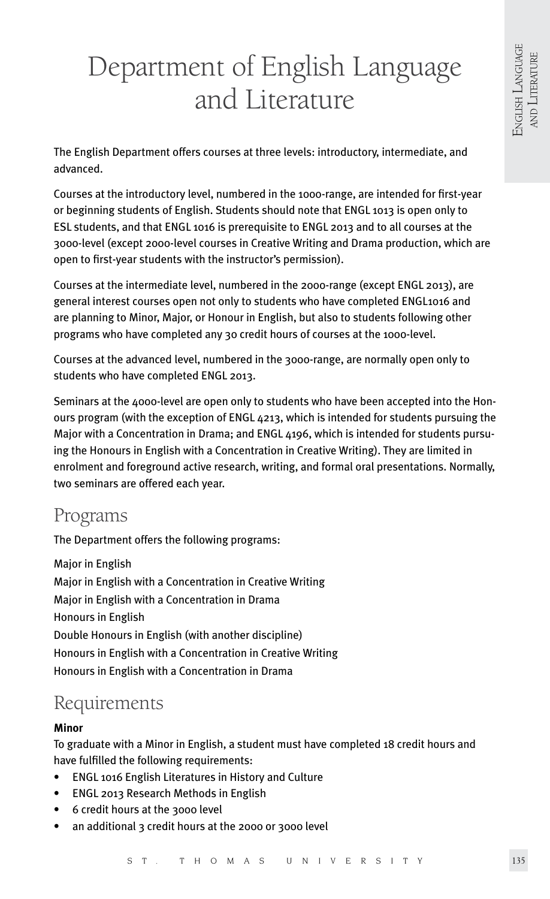# Department of English Language and Literature

The English Department offers courses at three levels: introductory, intermediate, and advanced.

Courses at the introductory level, numbered in the 1000-range, are intended for first-year or beginning students of English. Students should note that ENGL 1013 is open only to ESL students, and that ENGL 1016 is prerequisite to ENGL 2013 and to all courses at the 3000-level (except 2000-level courses in Creative Writing and Drama production, which are open to first-year students with the instructor's permission).

Courses at the intermediate level, numbered in the 2000-range (except ENGL 2013), are general interest courses open not only to students who have completed ENGL1016 and are planning to Minor, Major, or Honour in English, but also to students following other programs who have completed any 30 credit hours of courses at the 1000-level.

Courses at the advanced level, numbered in the 3000-range, are normally open only to students who have completed ENGL 2013.

Seminars at the 4000-level are open only to students who have been accepted into the Honours program (with the exception of ENGL 4213, which is intended for students pursuing the Major with a Concentration in Drama; and ENGL 4196, which is intended for students pursuing the Honours in English with a Concentration in Creative Writing). They are limited in enrolment and foreground active research, writing, and formal oral presentations. Normally, two seminars are offered each year.

# Programs

The Department offers the following programs:

Major in English Major in English with a Concentration in Creative Writing Major in English with a Concentration in Drama Honours in English Double Honours in English (with another discipline) Honours in English with a Concentration in Creative Writing Honours in English with a Concentration in Drama

# Requirements

# **Minor**

To graduate with a Minor in English, a student must have completed 18 credit hours and have fulfilled the following requirements:

- ENGL 1016 English Literatures in History and Culture
- ENGL 2013 Research Methods in English
- 6 credit hours at the 3000 level
- an additional 3 credit hours at the 2000 or 3000 level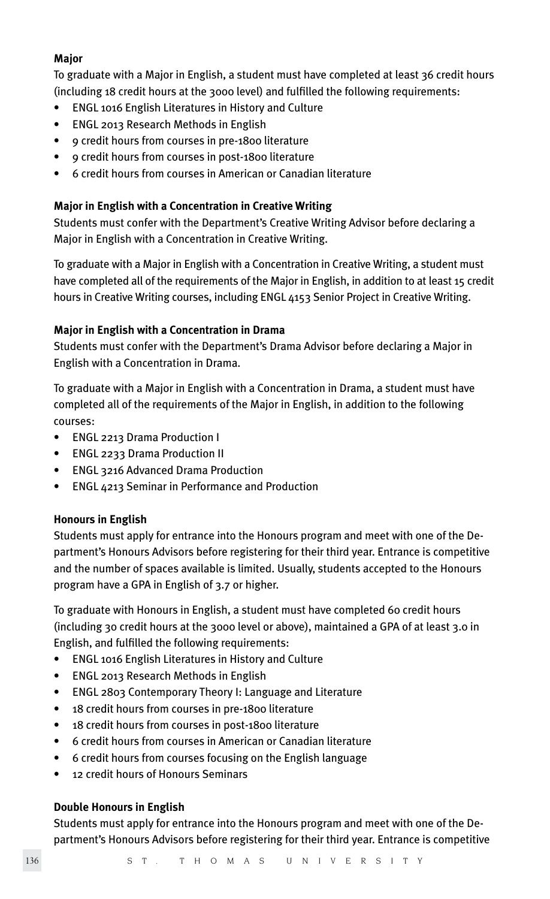# **Major**

To graduate with a Major in English, a student must have completed at least 36 credit hours (including 18 credit hours at the 3000 level) and fulfilled the following requirements:

- ENGL 1016 English Literatures in History and Culture
- ENGL 2013 Research Methods in English
- 9 credit hours from courses in pre-1800 literature
- 9 credit hours from courses in post-1800 literature
- 6 credit hours from courses in American or Canadian literature

# **Major in English with a Concentration in Creative Writing**

Students must confer with the Department's Creative Writing Advisor before declaring a Major in English with a Concentration in Creative Writing.

To graduate with a Major in English with a Concentration in Creative Writing, a student must have completed all of the requirements of the Major in English, in addition to at least 15 credit hours in Creative Writing courses, including ENGL 4153 Senior Project in Creative Writing.

# **Major in English with a Concentration in Drama**

Students must confer with the Department's Drama Advisor before declaring a Major in English with a Concentration in Drama.

To graduate with a Major in English with a Concentration in Drama, a student must have completed all of the requirements of the Major in English, in addition to the following courses:

- ENGL 2213 Drama Production I
- ENGL 2233 Drama Production II
- ENGL 3216 Advanced Drama Production
- ENGL 4213 Seminar in Performance and Production

# **Honours in English**

Students must apply for entrance into the Honours program and meet with one of the Department's Honours Advisors before registering for their third year. Entrance is competitive and the number of spaces available is limited. Usually, students accepted to the Honours program have a GPA in English of 3.7 or higher.

To graduate with Honours in English, a student must have completed 60 credit hours (including 30 credit hours at the 3000 level or above), maintained a GPA of at least 3.0 in English, and fulfilled the following requirements:

- ENGL 1016 English Literatures in History and Culture
- ENGL 2013 Research Methods in English
- ENGL 2803 Contemporary Theory I: Language and Literature
- 18 credit hours from courses in pre-1800 literature
- 18 credit hours from courses in post-1800 literature
- 6 credit hours from courses in American or Canadian literature
- 6 credit hours from courses focusing on the English language
- 12 credit hours of Honours Seminars

# **Double Honours in English**

Students must apply for entrance into the Honours program and meet with one of the Department's Honours Advisors before registering for their third year. Entrance is competitive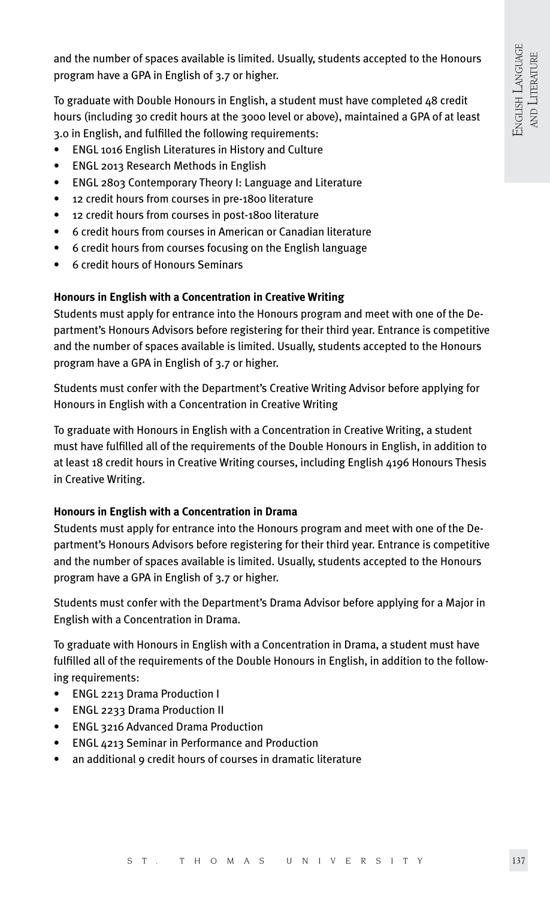and the number of spaces available is limited. Usually, students accepted to the Honours program have a GPA in English of 3.7 or higher.

To graduate with Double Honours in English, a student must have completed 48 credit hours (including 30 credit hours at the 3000 level or above), maintained a GPA of at least 3.0 in English, and fulfilled the following requirements:

- ENGL 1016 English Literatures in History and Culture
- ENGL 2013 Research Methods in English
- ENGL 2803 Contemporary Theory I: Language and Literature
- 12 credit hours from courses in pre-1800 literature
- 12 credit hours from courses in post-1800 literature
- 6 credit hours from courses in American or Canadian literature
- 6 credit hours from courses focusing on the English language
- 6 credit hours of Honours Seminars

#### **Honours in English with a Concentration in Creative Writing**

Students must apply for entrance into the Honours program and meet with one of the Department's Honours Advisors before registering for their third year. Entrance is competitive and the number of spaces available is limited. Usually, students accepted to the Honours program have a GPA in English of 3.7 or higher.

Students must confer with the Department's Creative Writing Advisor before applying for Honours in English with a Concentration in Creative Writing

To graduate with Honours in English with a Concentration in Creative Writing, a student must have fulfilled all of the requirements of the Double Honours in English, in addition to at least 18 credit hours in Creative Writing courses, including English 4196 Honours Thesis in Creative Writing.

#### **Honours in English with a Concentration in Drama**

Students must apply for entrance into the Honours program and meet with one of the Department's Honours Advisors before registering for their third year. Entrance is competitive and the number of spaces available is limited. Usually, students accepted to the Honours program have a GPA in English of 3.7 or higher.

Students must confer with the Department's Drama Advisor before applying for a Major in English with a Concentration in Drama.

To graduate with Honours in English with a Concentration in Drama, a student must have fulfilled all of the requirements of the Double Honours in English, in addition to the following requirements:

- ENGL 2213 Drama Production I
- ENGL 2233 Drama Production II
- ENGL 3216 Advanced Drama Production
- ENGL 4213 Seminar in Performance and Production
- an additional 9 credit hours of courses in dramatic literature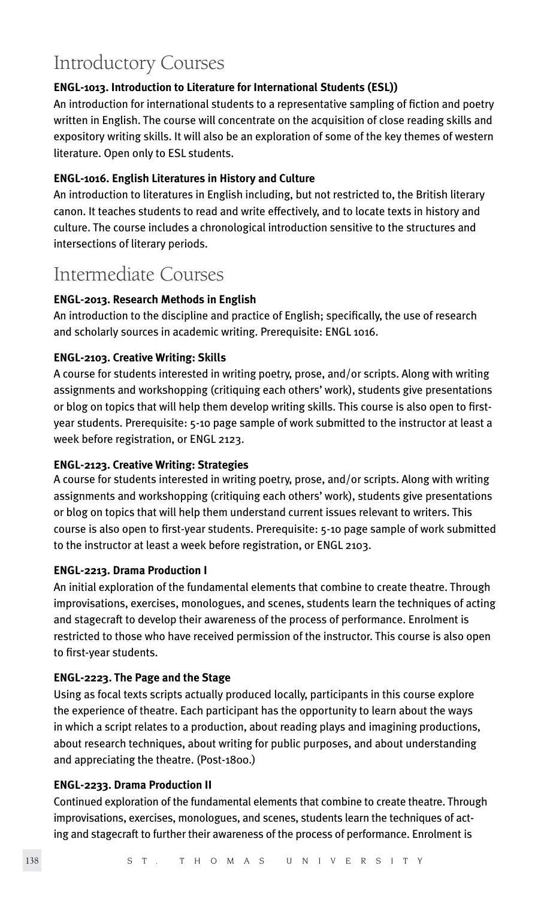# Introductory Courses

# **ENGL-1013. Introduction to Literature for International Students (ESL))**

An introduction for international students to a representative sampling of fiction and poetry written in English. The course will concentrate on the acquisition of close reading skills and expository writing skills. It will also be an exploration of some of the key themes of western literature. Open only to ESL students.

# **ENGL-1016. English Literatures in History and Culture**

An introduction to literatures in English including, but not restricted to, the British literary canon. It teaches students to read and write effectively, and to locate texts in history and culture. The course includes a chronological introduction sensitive to the structures and intersections of literary periods.

# Intermediate Courses

# **ENGL-2013. Research Methods in English**

An introduction to the discipline and practice of English; specifically, the use of research and scholarly sources in academic writing. Prerequisite: ENGL 1016.

# **ENGL-2103. Creative Writing: Skills**

A course for students interested in writing poetry, prose, and/or scripts. Along with writing assignments and workshopping (critiquing each others' work), students give presentations or blog on topics that will help them develop writing skills. This course is also open to firstyear students. Prerequisite: 5-10 page sample of work submitted to the instructor at least a week before registration, or ENGL 2123.

# **ENGL-2123. Creative Writing: Strategies**

A course for students interested in writing poetry, prose, and/or scripts. Along with writing assignments and workshopping (critiquing each others' work), students give presentations or blog on topics that will help them understand current issues relevant to writers. This course is also open to first-year students. Prerequisite: 5-10 page sample of work submitted to the instructor at least a week before registration, or ENGL 2103.

# **ENGL-2213. Drama Production I**

An initial exploration of the fundamental elements that combine to create theatre. Through improvisations, exercises, monologues, and scenes, students learn the techniques of acting and stagecraft to develop their awareness of the process of performance. Enrolment is restricted to those who have received permission of the instructor. This course is also open to first-year students.

# **ENGL-2223. The Page and the Stage**

Using as focal texts scripts actually produced locally, participants in this course explore the experience of theatre. Each participant has the opportunity to learn about the ways in which a script relates to a production, about reading plays and imagining productions, about research techniques, about writing for public purposes, and about understanding and appreciating the theatre. (Post-1800.)

# **ENGL-2233. Drama Production II**

Continued exploration of the fundamental elements that combine to create theatre. Through improvisations, exercises, monologues, and scenes, students learn the techniques of acting and stagecraft to further their awareness of the process of performance. Enrolment is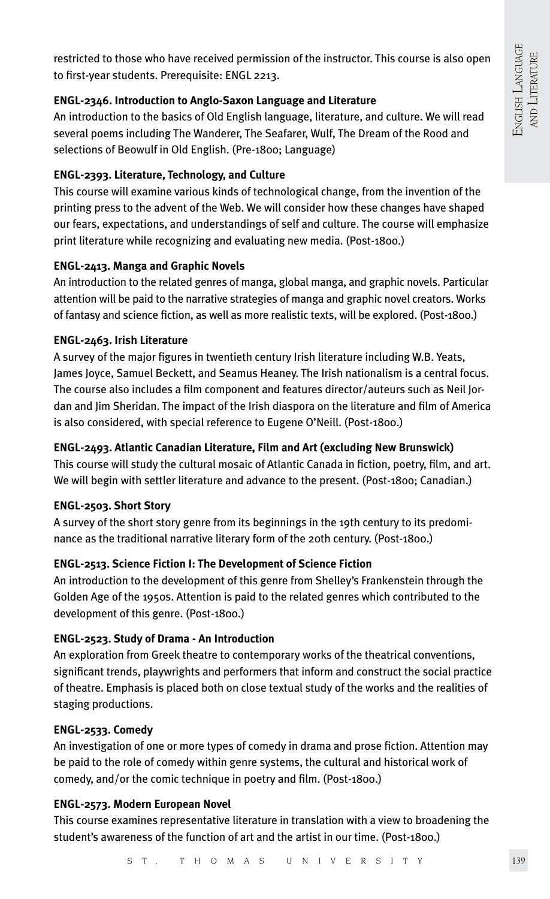restricted to those who have received permission of the instructor. This course is also open to first-year students. Prerequisite: ENGL 2213.

# **ENGL-2346. Introduction to Anglo-Saxon Language and Literature**

An introduction to the basics of Old English language, literature, and culture. We will read several poems including The Wanderer, The Seafarer, Wulf, The Dream of the Rood and selections of Beowulf in Old English. (Pre-1800; Language)

# **ENGL-2393. Literature, Technology, and Culture**

This course will examine various kinds of technological change, from the invention of the printing press to the advent of the Web. We will consider how these changes have shaped our fears, expectations, and understandings of self and culture. The course will emphasize print literature while recognizing and evaluating new media. (Post-1800.)

# **ENGL-2413. Manga and Graphic Novels**

An introduction to the related genres of manga, global manga, and graphic novels. Particular attention will be paid to the narrative strategies of manga and graphic novel creators. Works of fantasy and science fiction, as well as more realistic texts, will be explored. (Post-1800.)

# **ENGL-2463. Irish Literature**

A survey of the major figures in twentieth century Irish literature including W.B. Yeats, James Joyce, Samuel Beckett, and Seamus Heaney. The Irish nationalism is a central focus. The course also includes a film component and features director/auteurs such as Neil Jordan and Jim Sheridan. The impact of the Irish diaspora on the literature and film of America is also considered, with special reference to Eugene O'Neill. (Post-1800.)

# **ENGL-2493. Atlantic Canadian Literature, Film and Art (excluding New Brunswick)**

This course will study the cultural mosaic of Atlantic Canada in fiction, poetry, film, and art. We will begin with settler literature and advance to the present. (Post-1800; Canadian.)

# **ENGL-2503. Short Story**

A survey of the short story genre from its beginnings in the 19th century to its predominance as the traditional narrative literary form of the 20th century. (Post-1800.)

# **ENGL-2513. Science Fiction I: The Development of Science Fiction**

An introduction to the development of this genre from Shelley's Frankenstein through the Golden Age of the 1950s. Attention is paid to the related genres which contributed to the development of this genre. (Post-1800.)

# **ENGL-2523. Study of Drama - An Introduction**

An exploration from Greek theatre to contemporary works of the theatrical conventions, significant trends, playwrights and performers that inform and construct the social practice of theatre. Emphasis is placed both on close textual study of the works and the realities of staging productions.

# **ENGL-2533. Comedy**

An investigation of one or more types of comedy in drama and prose fiction. Attention may be paid to the role of comedy within genre systems, the cultural and historical work of comedy, and/or the comic technique in poetry and film. (Post-1800.)

# **ENGL-2573. Modern European Novel**

This course examines representative literature in translation with a view to broadening the student's awareness of the function of art and the artist in our time. (Post-1800.)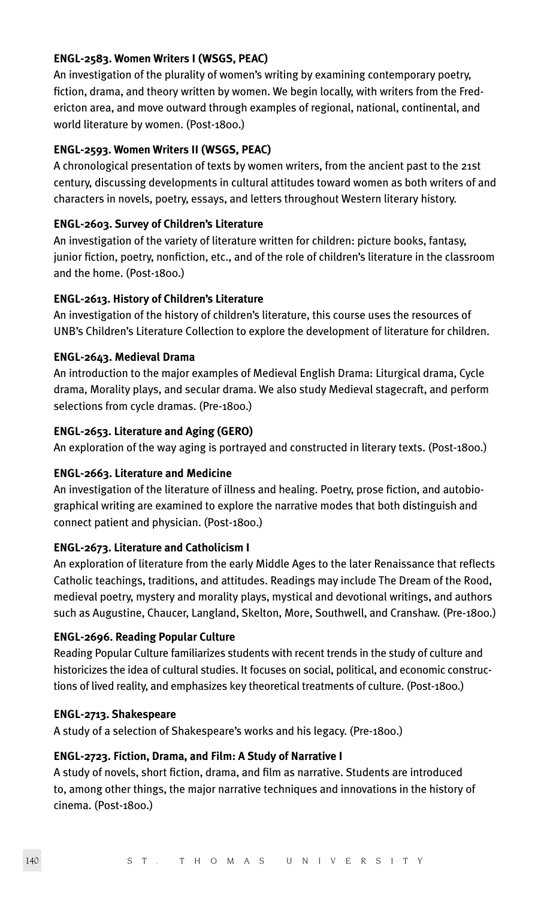#### **ENGL-2583. Women Writers I (WSGS, PEAC)**

An investigation of the plurality of women's writing by examining contemporary poetry, fiction, drama, and theory written by women. We begin locally, with writers from the Fredericton area, and move outward through examples of regional, national, continental, and world literature by women. (Post-1800.)

# **ENGL-2593. Women Writers II (WSGS, PEAC)**

A chronological presentation of texts by women writers, from the ancient past to the 21st century, discussing developments in cultural attitudes toward women as both writers of and characters in novels, poetry, essays, and letters throughout Western literary history.

#### **ENGL-2603. Survey of Children's Literature**

An investigation of the variety of literature written for children: picture books, fantasy, junior fiction, poetry, nonfiction, etc., and of the role of children's literature in the classroom and the home. (Post-1800.)

# **ENGL-2613. History of Children's Literature**

An investigation of the history of children's literature, this course uses the resources of UNB's Children's Literature Collection to explore the development of literature for children.

#### **ENGL-2643. Medieval Drama**

An introduction to the major examples of Medieval English Drama: Liturgical drama, Cycle drama, Morality plays, and secular drama. We also study Medieval stagecraft, and perform selections from cycle dramas. (Pre-1800.)

#### **ENGL-2653. Literature and Aging (GERO)**

An exploration of the way aging is portrayed and constructed in literary texts. (Post-1800.)

#### **ENGL-2663. Literature and Medicine**

An investigation of the literature of illness and healing. Poetry, prose fiction, and autobiographical writing are examined to explore the narrative modes that both distinguish and connect patient and physician. (Post-1800.)

#### **ENGL-2673. Literature and Catholicism I**

An exploration of literature from the early Middle Ages to the later Renaissance that reflects Catholic teachings, traditions, and attitudes. Readings may include The Dream of the Rood, medieval poetry, mystery and morality plays, mystical and devotional writings, and authors such as Augustine, Chaucer, Langland, Skelton, More, Southwell, and Cranshaw. (Pre-1800.)

#### **ENGL-2696. Reading Popular Culture**

Reading Popular Culture familiarizes students with recent trends in the study of culture and historicizes the idea of cultural studies. It focuses on social, political, and economic constructions of lived reality, and emphasizes key theoretical treatments of culture. (Post-1800.)

#### **ENGL-2713. Shakespeare**

A study of a selection of Shakespeare's works and his legacy. (Pre-1800.)

#### **ENGL-2723. Fiction, Drama, and Film: A Study of Narrative I**

A study of novels, short fiction, drama, and film as narrative. Students are introduced to, among other things, the major narrative techniques and innovations in the history of cinema. (Post-1800.)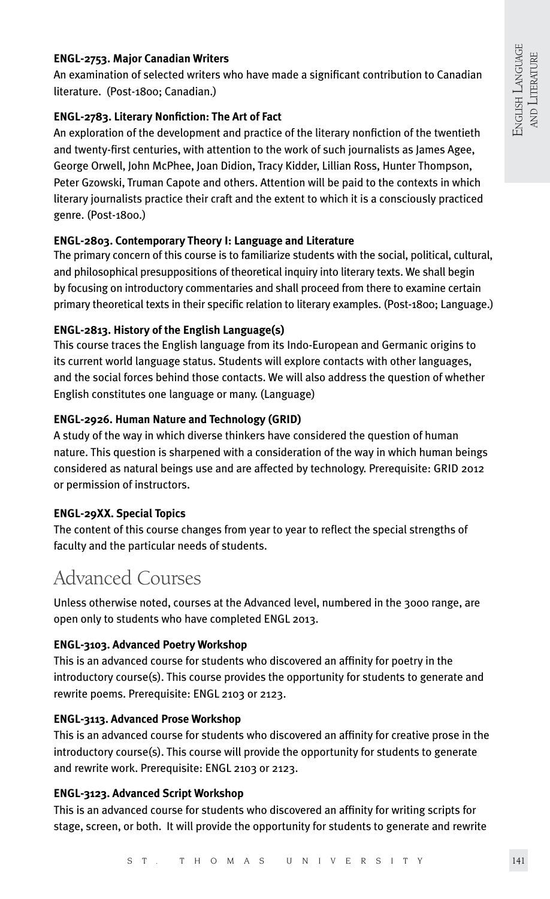# **ENGL-2753. Major Canadian Writers**

An examination of selected writers who have made a significant contribution to Canadian literature. (Post-1800; Canadian.)

# **ENGL-2783. Literary Nonfiction: The Art of Fact**

An exploration of the development and practice of the literary nonfiction of the twentieth and twenty-first centuries, with attention to the work of such journalists as James Agee, George Orwell, John McPhee, Joan Didion, Tracy Kidder, Lillian Ross, Hunter Thompson, Peter Gzowski, Truman Capote and others. Attention will be paid to the contexts in which literary journalists practice their craft and the extent to which it is a consciously practiced genre. (Post-1800.)

# **ENGL-2803. Contemporary Theory I: Language and Literature**

The primary concern of this course is to familiarize students with the social, political, cultural, and philosophical presuppositions of theoretical inquiry into literary texts. We shall begin by focusing on introductory commentaries and shall proceed from there to examine certain primary theoretical texts in their specific relation to literary examples. (Post-1800; Language.)

# **ENGL-2813. History of the English Language(s)**

This course traces the English language from its Indo-European and Germanic origins to its current world language status. Students will explore contacts with other languages, and the social forces behind those contacts. We will also address the question of whether English constitutes one language or many. (Language)

# **ENGL-2926. Human Nature and Technology (GRID)**

A study of the way in which diverse thinkers have considered the question of human nature. This question is sharpened with a consideration of the way in which human beings considered as natural beings use and are affected by technology. Prerequisite: GRID 2012 or permission of instructors.

#### **ENGL-29XX. Special Topics**

The content of this course changes from year to year to reflect the special strengths of faculty and the particular needs of students.

# Advanced Courses

Unless otherwise noted, courses at the Advanced level, numbered in the 3000 range, are open only to students who have completed ENGL 2013.

# **ENGL-3103. Advanced Poetry Workshop**

This is an advanced course for students who discovered an affinity for poetry in the introductory course(s). This course provides the opportunity for students to generate and rewrite poems. Prerequisite: ENGL 2103 or 2123.

#### **ENGL-3113. Advanced Prose Workshop**

This is an advanced course for students who discovered an affinity for creative prose in the introductory course(s). This course will provide the opportunity for students to generate and rewrite work. Prerequisite: ENGL 2103 or 2123.

# **ENGL-3123. Advanced Script Workshop**

This is an advanced course for students who discovered an affinity for writing scripts for stage, screen, or both. It will provide the opportunity for students to generate and rewrite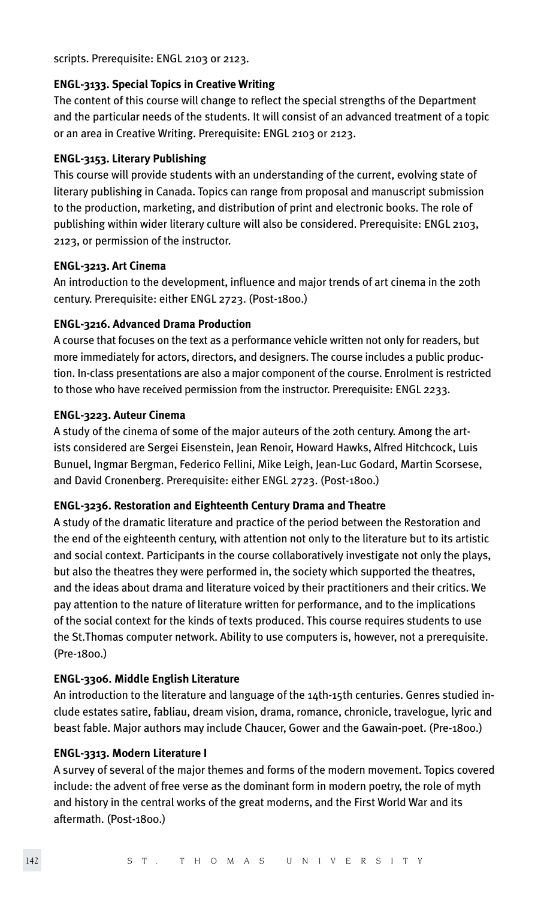scripts. Prerequisite: ENGL 2103 or 2123.

#### **ENGL-3133. Special Topics in Creative Writing**

The content of this course will change to reflect the special strengths of the Department and the particular needs of the students. It will consist of an advanced treatment of a topic or an area in Creative Writing. Prerequisite: ENGL 2103 or 2123.

#### **ENGL-3153. Literary Publishing**

This course will provide students with an understanding of the current, evolving state of literary publishing in Canada. Topics can range from proposal and manuscript submission to the production, marketing, and distribution of print and electronic books. The role of publishing within wider literary culture will also be considered. Prerequisite: ENGL 2103, 2123, or permission of the instructor.

#### **ENGL-3213. Art Cinema**

An introduction to the development, influence and major trends of art cinema in the 20th century. Prerequisite: either ENGL 2723. (Post-1800.)

#### **ENGL-3216. Advanced Drama Production**

A course that focuses on the text as a performance vehicle written not only for readers, but more immediately for actors, directors, and designers. The course includes a public production. In-class presentations are also a major component of the course. Enrolment is restricted to those who have received permission from the instructor. Prerequisite: ENGL 2233.

#### **ENGL-3223. Auteur Cinema**

A study of the cinema of some of the major auteurs of the 20th century. Among the artists considered are Sergei Eisenstein, Jean Renoir, Howard Hawks, Alfred Hitchcock, Luis Bunuel, Ingmar Bergman, Federico Fellini, Mike Leigh, Jean-Luc Godard, Martin Scorsese, and David Cronenberg. Prerequisite: either ENGL 2723. (Post-1800.)

#### **ENGL-3236. Restoration and Eighteenth Century Drama and Theatre**

A study of the dramatic literature and practice of the period between the Restoration and the end of the eighteenth century, with attention not only to the literature but to its artistic and social context. Participants in the course collaboratively investigate not only the plays, but also the theatres they were performed in, the society which supported the theatres, and the ideas about drama and literature voiced by their practitioners and their critics. We pay attention to the nature of literature written for performance, and to the implications of the social context for the kinds of texts produced. This course requires students to use the St.Thomas computer network. Ability to use computers is, however, not a prerequisite. (Pre-1800.)

# **ENGL-3306. Middle English Literature**

An introduction to the literature and language of the 14th-15th centuries. Genres studied include estates satire, fabliau, dream vision, drama, romance, chronicle, travelogue, lyric and beast fable. Major authors may include Chaucer, Gower and the Gawain-poet. (Pre-1800.)

#### **ENGL-3313. Modern Literature I**

A survey of several of the major themes and forms of the modern movement. Topics covered include: the advent of free verse as the dominant form in modern poetry, the role of myth and history in the central works of the great moderns, and the First World War and its aftermath. (Post-1800.)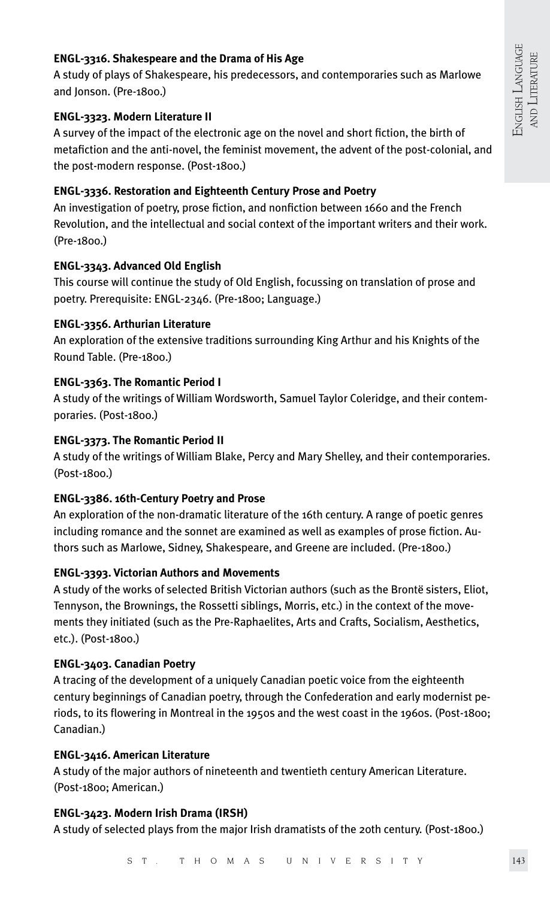# **ENGL-3316. Shakespeare and the Drama of His Age**

A study of plays of Shakespeare, his predecessors, and contemporaries such as Marlowe and Jonson. (Pre-1800.)

#### **ENGL-3323. Modern Literature II**

A survey of the impact of the electronic age on the novel and short fiction, the birth of metafiction and the anti-novel, the feminist movement, the advent of the post-colonial, and the post-modern response. (Post-1800.)

# **ENGL-3336. Restoration and Eighteenth Century Prose and Poetry**

An investigation of poetry, prose fiction, and nonfiction between 1660 and the French Revolution, and the intellectual and social context of the important writers and their work. (Pre-1800.)

# **ENGL-3343. Advanced Old English**

This course will continue the study of Old English, focussing on translation of prose and poetry. Prerequisite: ENGL-2346. (Pre-1800; Language.)

# **ENGL-3356. Arthurian Literature**

An exploration of the extensive traditions surrounding King Arthur and his Knights of the Round Table. (Pre-1800.)

# **ENGL-3363. The Romantic Period I**

A study of the writings of William Wordsworth, Samuel Taylor Coleridge, and their contemporaries. (Post-1800.)

# **ENGL-3373. The Romantic Period II**

A study of the writings of William Blake, Percy and Mary Shelley, and their contemporaries. (Post-1800.)

# **ENGL-3386. 16th-Century Poetry and Prose**

An exploration of the non-dramatic literature of the 16th century. A range of poetic genres including romance and the sonnet are examined as well as examples of prose fiction. Authors such as Marlowe, Sidney, Shakespeare, and Greene are included. (Pre-1800.)

# **ENGL-3393. Victorian Authors and Movements**

A study of the works of selected British Victorian authors (such as the Brontë sisters, Eliot, Tennyson, the Brownings, the Rossetti siblings, Morris, etc.) in the context of the movements they initiated (such as the Pre-Raphaelites, Arts and Crafts, Socialism, Aesthetics, etc.). (Post-1800.)

# **ENGL-3403. Canadian Poetry**

A tracing of the development of a uniquely Canadian poetic voice from the eighteenth century beginnings of Canadian poetry, through the Confederation and early modernist periods, to its flowering in Montreal in the 1950s and the west coast in the 1960s. (Post-1800; Canadian.)

# **ENGL-3416. American Literature**

A study of the major authors of nineteenth and twentieth century American Literature. (Post-1800; American.)

#### **ENGL-3423. Modern Irish Drama (IRSH)**

A study of selected plays from the major Irish dramatists of the 20th century. (Post-1800.)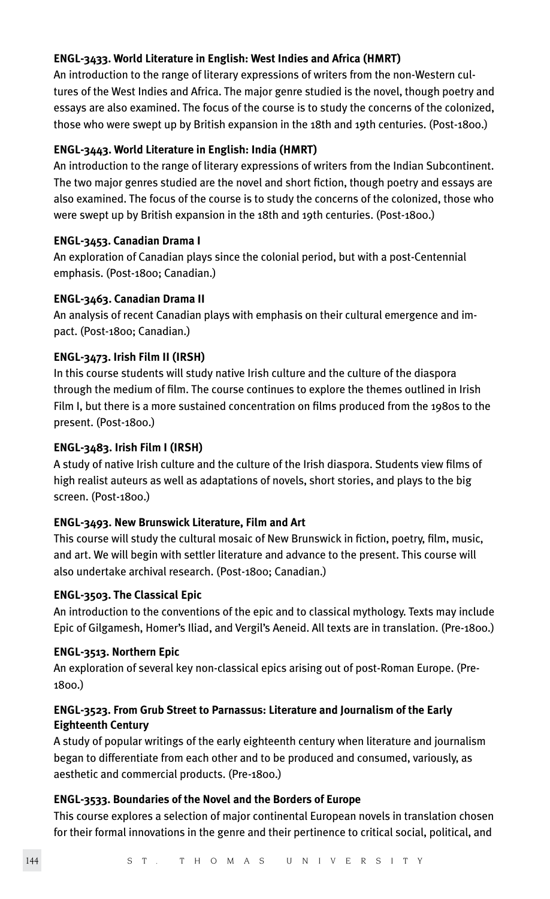# **ENGL-3433. World Literature in English: West Indies and Africa (HMRT)**

An introduction to the range of literary expressions of writers from the non-Western cultures of the West Indies and Africa. The major genre studied is the novel, though poetry and essays are also examined. The focus of the course is to study the concerns of the colonized, those who were swept up by British expansion in the 18th and 19th centuries. (Post-1800.)

# **ENGL-3443. World Literature in English: India (HMRT)**

An introduction to the range of literary expressions of writers from the Indian Subcontinent. The two major genres studied are the novel and short fiction, though poetry and essays are also examined. The focus of the course is to study the concerns of the colonized, those who were swept up by British expansion in the 18th and 19th centuries. (Post-1800.)

#### **ENGL-3453. Canadian Drama I**

An exploration of Canadian plays since the colonial period, but with a post-Centennial emphasis. (Post-1800; Canadian.)

# **ENGL-3463. Canadian Drama II**

An analysis of recent Canadian plays with emphasis on their cultural emergence and impact. (Post-1800; Canadian.)

# **ENGL-3473. Irish Film II (IRSH)**

In this course students will study native Irish culture and the culture of the diaspora through the medium of film. The course continues to explore the themes outlined in Irish Film I, but there is a more sustained concentration on films produced from the 1980s to the present. (Post-1800.)

#### **ENGL-3483. Irish Film I (IRSH)**

A study of native Irish culture and the culture of the Irish diaspora. Students view films of high realist auteurs as well as adaptations of novels, short stories, and plays to the big screen. (Post-1800.)

# **ENGL-3493. New Brunswick Literature, Film and Art**

This course will study the cultural mosaic of New Brunswick in fiction, poetry, film, music, and art. We will begin with settler literature and advance to the present. This course will also undertake archival research. (Post-1800; Canadian.)

#### **ENGL-3503. The Classical Epic**

An introduction to the conventions of the epic and to classical mythology. Texts may include Epic of Gilgamesh, Homer's Iliad, and Vergil's Aeneid. All texts are in translation. (Pre-1800.)

#### **ENGL-3513. Northern Epic**

An exploration of several key non-classical epics arising out of post-Roman Europe. (Pre-1800.)

# **ENGL-3523. From Grub Street to Parnassus: Literature and Journalism of the Early Eighteenth Century**

A study of popular writings of the early eighteenth century when literature and journalism began to differentiate from each other and to be produced and consumed, variously, as aesthetic and commercial products. (Pre-1800.)

#### **ENGL-3533. Boundaries of the Novel and the Borders of Europe**

This course explores a selection of major continental European novels in translation chosen for their formal innovations in the genre and their pertinence to critical social, political, and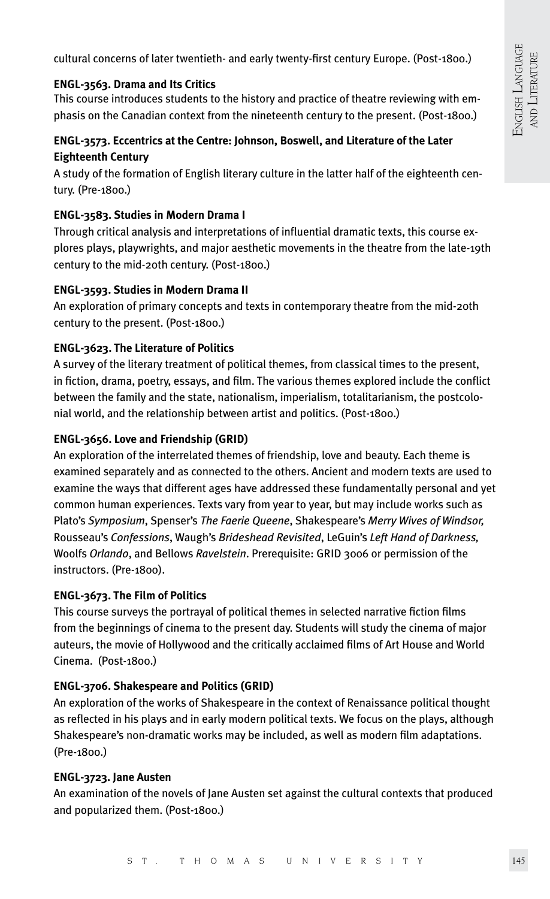cultural concerns of later twentieth- and early twenty-first century Europe. (Post-1800.)

# **ENGL-3563. Drama and Its Critics**

This course introduces students to the history and practice of theatre reviewing with emphasis on the Canadian context from the nineteenth century to the present. (Post-1800.)

# **ENGL-3573. Eccentrics at the Centre: Johnson, Boswell, and Literature of the Later Eighteenth Century**

A study of the formation of English literary culture in the latter half of the eighteenth century. (Pre-1800.)

# **ENGL-3583. Studies in Modern Drama I**

Through critical analysis and interpretations of influential dramatic texts, this course explores plays, playwrights, and major aesthetic movements in the theatre from the late-19th century to the mid-20th century. (Post-1800.)

#### **ENGL-3593. Studies in Modern Drama II**

An exploration of primary concepts and texts in contemporary theatre from the mid-20th century to the present. (Post-1800.)

# **ENGL-3623. The Literature of Politics**

A survey of the literary treatment of political themes, from classical times to the present, in fiction, drama, poetry, essays, and film. The various themes explored include the conflict between the family and the state, nationalism, imperialism, totalitarianism, the postcolonial world, and the relationship between artist and politics. (Post-1800.)

# **ENGL-3656. Love and Friendship (GRID)**

An exploration of the interrelated themes of friendship, love and beauty. Each theme is examined separately and as connected to the others. Ancient and modern texts are used to examine the ways that different ages have addressed these fundamentally personal and yet common human experiences. Texts vary from year to year, but may include works such as Plato's *Symposium*, Spenser's *The Faerie Queene*, Shakespeare's *Merry Wives of Windsor,* Rousseau's *Confessions*, Waugh's *Brideshead Revisited*, LeGuin's *Left Hand of Darkness,* Woolfs *Orlando*, and Bellows *Ravelstein*. Prerequisite: GRID 3006 or permission of the instructors. (Pre-1800).

# **ENGL-3673. The Film of Politics**

This course surveys the portrayal of political themes in selected narrative fiction films from the beginnings of cinema to the present day. Students will study the cinema of major auteurs, the movie of Hollywood and the critically acclaimed films of Art House and World Cinema. (Post-1800.)

# **ENGL-3706. Shakespeare and Politics (GRID)**

An exploration of the works of Shakespeare in the context of Renaissance political thought as reflected in his plays and in early modern political texts. We focus on the plays, although Shakespeare's non-dramatic works may be included, as well as modern film adaptations. (Pre-1800.)

#### **ENGL-3723. Jane Austen**

An examination of the novels of Jane Austen set against the cultural contexts that produced and popularized them. (Post-1800.)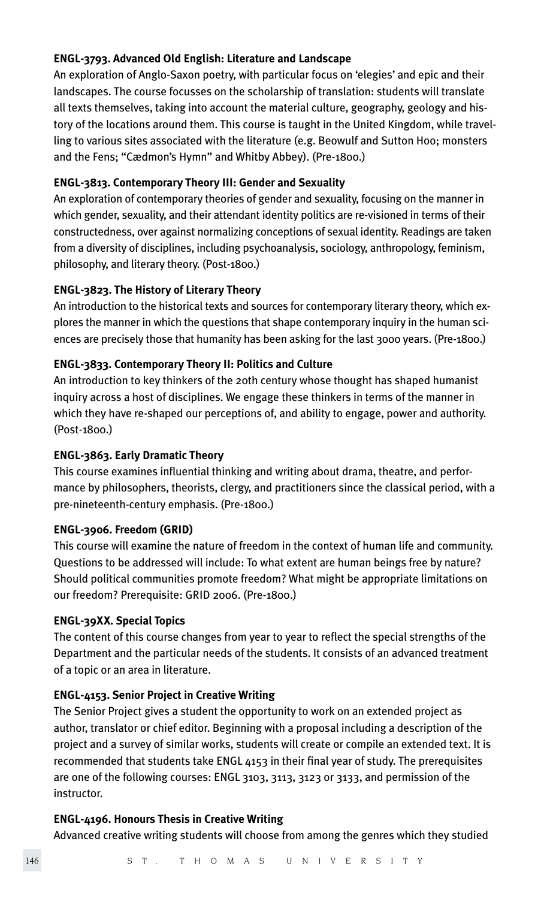# **ENGL-3793. Advanced Old English: Literature and Landscape**

An exploration of Anglo-Saxon poetry, with particular focus on 'elegies' and epic and their landscapes. The course focusses on the scholarship of translation: students will translate all texts themselves, taking into account the material culture, geography, geology and history of the locations around them. This course is taught in the United Kingdom, while travelling to various sites associated with the literature (e.g. Beowulf and Sutton Hoo; monsters and the Fens; "Cædmon's Hymn" and Whitby Abbey). (Pre-1800.)

# **ENGL-3813. Contemporary Theory III: Gender and Sexuality**

An exploration of contemporary theories of gender and sexuality, focusing on the manner in which gender, sexuality, and their attendant identity politics are re-visioned in terms of their constructedness, over against normalizing conceptions of sexual identity. Readings are taken from a diversity of disciplines, including psychoanalysis, sociology, anthropology, feminism, philosophy, and literary theory. (Post-1800.)

# **ENGL-3823. The History of Literary Theory**

An introduction to the historical texts and sources for contemporary literary theory, which explores the manner in which the questions that shape contemporary inquiry in the human sciences are precisely those that humanity has been asking for the last 3000 years. (Pre-1800.)

# **ENGL-3833. Contemporary Theory II: Politics and Culture**

An introduction to key thinkers of the 20th century whose thought has shaped humanist inquiry across a host of disciplines. We engage these thinkers in terms of the manner in which they have re-shaped our perceptions of, and ability to engage, power and authority. (Post-1800.)

#### **ENGL-3863. Early Dramatic Theory**

This course examines influential thinking and writing about drama, theatre, and performance by philosophers, theorists, clergy, and practitioners since the classical period, with a pre-nineteenth-century emphasis. (Pre-1800.)

#### **ENGL-3906. Freedom (GRID)**

This course will examine the nature of freedom in the context of human life and community. Questions to be addressed will include: To what extent are human beings free by nature? Should political communities promote freedom? What might be appropriate limitations on our freedom? Prerequisite: GRID 2006. (Pre-1800.)

#### **ENGL-39XX. Special Topics**

The content of this course changes from year to year to reflect the special strengths of the Department and the particular needs of the students. It consists of an advanced treatment of a topic or an area in literature.

# **ENGL-4153. Senior Project in Creative Writing**

The Senior Project gives a student the opportunity to work on an extended project as author, translator or chief editor. Beginning with a proposal including a description of the project and a survey of similar works, students will create or compile an extended text. It is recommended that students take ENGL 4153 in their final year of study. The prerequisites are one of the following courses: ENGL 3103, 3113, 3123 or 3133, and permission of the instructor.

#### **ENGL-4196. Honours Thesis in Creative Writing**

Advanced creative writing students will choose from among the genres which they studied